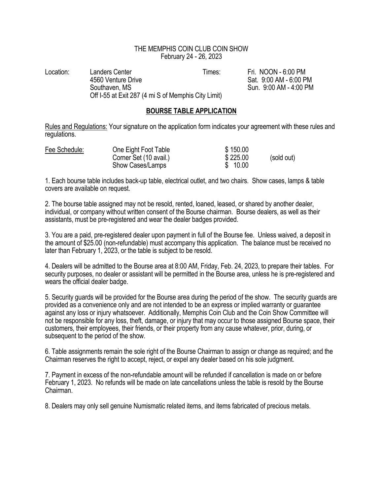## THE MEMPHIS COIN CLUB COIN SHOW February 24 - 26, 2023

Location: Landers Center Conter Times: Fri. NOON - 6:00 PM<br>4560 Venture Drive Conter Conter Cat. 9:00 AM - 6:00 P Southaven. MS Sun. 9:00 AM - 4:00 PM Off I-55 at Exit 287 (4 mi S of Memphis City Limit)

Sat. 9:00 AM - 6:00 PM

## BOURSE TABLE APPLICATION

Rules and Regulations: Your signature on the application form indicates your agreement with these rules and regulations.

| Fee Schedule: | One Eight Foot Table   | \$150.00 |            |
|---------------|------------------------|----------|------------|
|               | Corner Set (10 avail.) | \$225.00 | (sold out) |
|               | Show Cases/Lamps       | \$10.00  |            |

1. Each bourse table includes back-up table, electrical outlet, and two chairs. Show cases, lamps & table covers are available on request.

2. The bourse table assigned may not be resold, rented, loaned, leased, or shared by another dealer, individual, or company without written consent of the Bourse chairman. Bourse dealers, as well as their assistants, must be pre-registered and wear the dealer badges provided.

3. You are a paid, pre-registered dealer upon payment in full of the Bourse fee. Unless waived, a deposit in the amount of \$25.00 (non-refundable) must accompany this application. The balance must be received no later than February 1, 2023, or the table is subject to be resold.

4. Dealers will be admitted to the Bourse area at 8:00 AM, Friday, Feb. 24, 2023, to prepare their tables. For security purposes, no dealer or assistant will be permitted in the Bourse area, unless he is pre-registered and wears the official dealer badge.

5. Security guards will be provided for the Bourse area during the period of the show. The security guards are provided as a convenience only and are not intended to be an express or implied warranty or guarantee against any loss or injury whatsoever. Additionally, Memphis Coin Club and the Coin Show Committee will not be responsible for any loss, theft, damage, or injury that may occur to those assigned Bourse space, their customers, their employees, their friends, or their property from any cause whatever, prior, during, or subsequent to the period of the show.

6. Table assignments remain the sole right of the Bourse Chairman to assign or change as required; and the Chairman reserves the right to accept, reject, or expel any dealer based on his sole judgment.

7. Payment in excess of the non-refundable amount will be refunded if cancellation is made on or before February 1, 2023. No refunds will be made on late cancellations unless the table is resold by the Bourse Chairman.

8. Dealers may only sell genuine Numismatic related items, and items fabricated of precious metals.